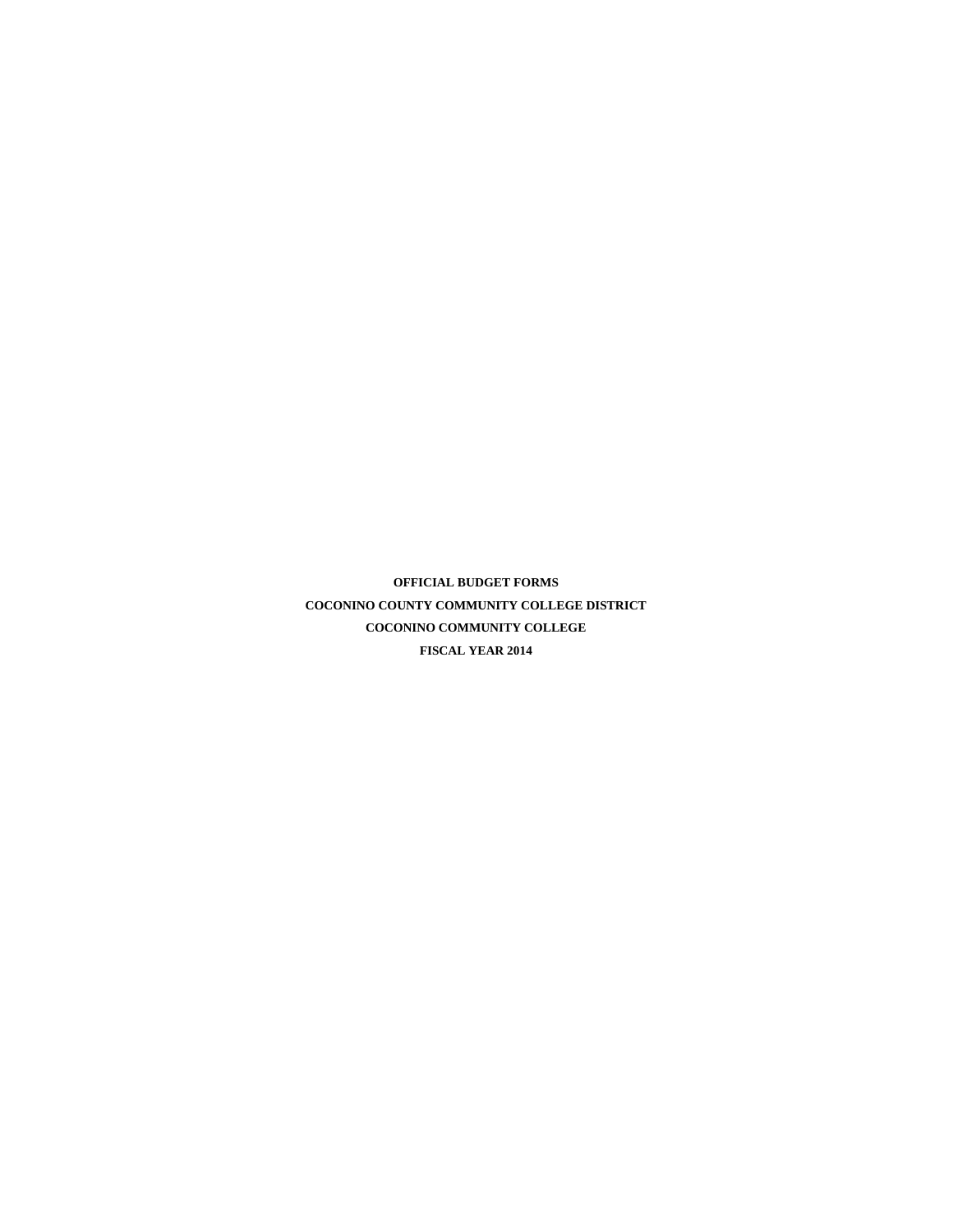**OFFICIAL BUDGET FORMS COCONINO COUNTY COMMUNITY COLLEGE DISTRICT COCONINO COMMUNITY COLLEGE FISCAL YEAR 2014**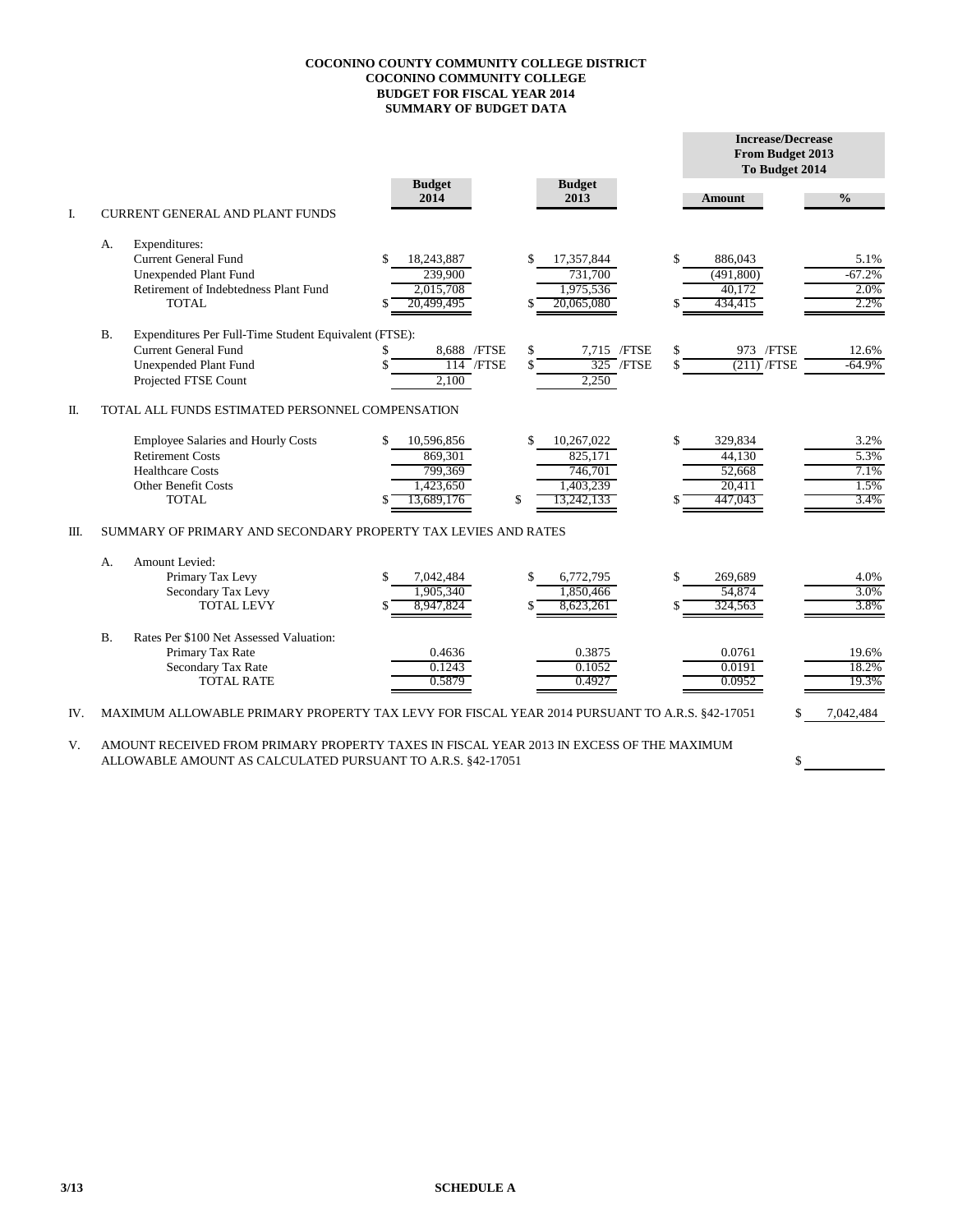## **COCONINO COUNTY COMMUNITY COLLEGE DISTRICT COCONINO COMMUNITY COLLEGE BUDGET FOR FISCAL YEAR 2014 SUMMARY OF BUDGET DATA**

|     |           |                                                                                                                                              |                                                                   |                                                                         |          | <b>Increase/Decrease</b><br>From Budget 2013<br>To Budget 2014 |                                      |
|-----|-----------|----------------------------------------------------------------------------------------------------------------------------------------------|-------------------------------------------------------------------|-------------------------------------------------------------------------|----------|----------------------------------------------------------------|--------------------------------------|
|     |           |                                                                                                                                              | <b>Budget</b><br>2014                                             | <b>Budget</b><br>2013                                                   |          | <b>Amount</b>                                                  | $\frac{0}{0}$                        |
| I.  |           | <b>CURRENT GENERAL AND PLANT FUNDS</b>                                                                                                       |                                                                   |                                                                         |          |                                                                |                                      |
|     | А.        | Expenditures:<br><b>Current General Fund</b><br><b>Unexpended Plant Fund</b><br>Retirement of Indebtedness Plant Fund<br><b>TOTAL</b>        | 18,243,887<br>239,900<br>2,015,708<br>20,499,495                  | 17,357,844<br>\$<br>731,700<br>1,975,536<br>20.065.080                  | \$       | 886,043<br>(491,800)<br>40.172<br>434,415                      | 5.1%<br>$-67.2%$<br>2.0%<br>2.2%     |
|     | <b>B.</b> | Expenditures Per Full-Time Student Equivalent (FTSE):<br><b>Current General Fund</b><br><b>Unexpended Plant Fund</b><br>Projected FTSE Count | 8.688 / FTSE<br>$114$ /FTSE<br>2.100                              | \$<br>7.715 / FTSE<br>$325$ /FTSE<br>2,250                              | \$<br>\$ | 973 / FTSE<br>$(211)$ /FTSE                                    | 12.6%<br>$-64.9%$                    |
| Π.  |           | TOTAL ALL FUNDS ESTIMATED PERSONNEL COMPENSATION                                                                                             |                                                                   |                                                                         |          |                                                                |                                      |
|     |           | Employee Salaries and Hourly Costs<br><b>Retirement Costs</b><br><b>Healthcare Costs</b><br><b>Other Benefit Costs</b><br><b>TOTAL</b>       | 10,596,856<br>\$<br>869,301<br>799,369<br>1,423,650<br>13,689,176 | \$<br>10,267,022<br>825,171<br>746,701<br>1,403,239<br>\$<br>13,242,133 | \$       | 329,834<br>44,130<br>52.668<br>20.411<br>447,043               | 3.2%<br>5.3%<br>7.1%<br>1.5%<br>3.4% |
| Ш.  |           | SUMMARY OF PRIMARY AND SECONDARY PROPERTY TAX LEVIES AND RATES                                                                               |                                                                   |                                                                         |          |                                                                |                                      |
|     | А.        | <b>Amount Levied:</b><br>Primary Tax Levy<br>Secondary Tax Levy<br><b>TOTAL LEVY</b>                                                         | 7,042,484<br>1,905,340<br>8.947.824                               | \$<br>6,772,795<br>1,850,466<br>\$<br>8.623.261                         | \$       | 269,689<br>54,874<br>324.563                                   | 4.0%<br>3.0%<br>3.8%                 |
|     | B.        | Rates Per \$100 Net Assessed Valuation:<br>Primary Tax Rate<br>Secondary Tax Rate<br><b>TOTAL RATE</b>                                       | 0.4636<br>0.1243<br>0.5879                                        | 0.3875<br>0.1052<br>0.4927                                              |          | 0.0761<br>0.0191<br>0.0952                                     | 19.6%<br>18.2%<br>19.3%              |
| IV. |           | MAXIMUM ALLOWABLE PRIMARY PROPERTY TAX LEVY FOR FISCAL YEAR 2014 PURSUANT TO A.R.S. §42-17051                                                |                                                                   |                                                                         |          |                                                                | 7,042,484                            |

\$

V. AMOUNT RECEIVED FROM PRIMARY PROPERTY TAXES IN FISCAL YEAR 2013 IN EXCESS OF THE MAXIMUM ALLOWABLE AMOUNT AS CALCULATED PURSUANT TO A.R.S. §42-17051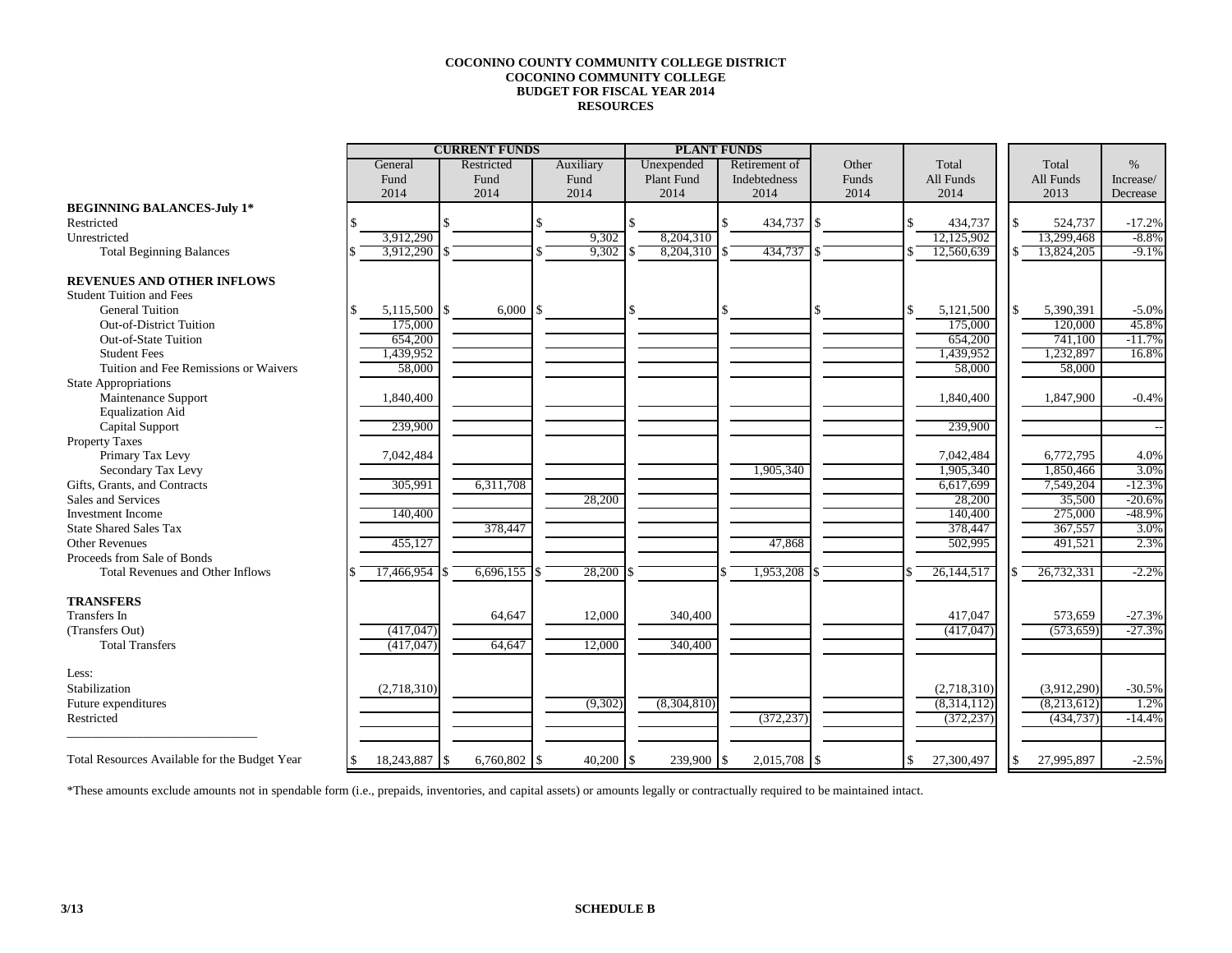## **COCONINO COUNTY COMMUNITY COLLEGE DISTRICT COCONINO COMMUNITY COLLEGE BUDGET FOR FISCAL YEAR 2014 RESOURCES**

|                                               | <b>CURRENT FUNDS</b> |            |                |  |           |    | <b>PLANT FUNDS</b> |  |               |      |       |                  |             |           |
|-----------------------------------------------|----------------------|------------|----------------|--|-----------|----|--------------------|--|---------------|------|-------|------------------|-------------|-----------|
|                                               | General              | Restricted |                |  | Auxiliary |    | Unexpended         |  | Retirement of |      | Other | Total            | Total       | $\%$      |
|                                               | Fund                 | Fund       |                |  | Fund      |    | Plant Fund         |  | Indebtedness  |      | Funds | All Funds        | All Funds   | Increase/ |
|                                               | 2014                 | 2014       |                |  | 2014      |    | 2014               |  | 2014          |      | 2014  | 2014             | 2013        | Decrease  |
| <b>BEGINNING BALANCES-July 1*</b>             |                      |            |                |  |           |    |                    |  |               |      |       |                  |             |           |
| Restricted                                    |                      |            |                |  |           |    |                    |  | 434,737       | l \$ |       | 434,737          | 524,737     | $-17.2%$  |
| Unrestricted                                  | 3.912.290            |            |                |  | 9,302     |    | 8,204,310          |  |               |      |       | 12,125,902       | 13.299.468  | $-8.8\%$  |
| <b>Total Beginning Balances</b>               | 3,912,290            |            |                |  | 9,302     |    | 8,204,310          |  | 434,737       |      |       | 12.560.639       | 13,824,205  | $-9.1%$   |
| <b>REVENUES AND OTHER INFLOWS</b>             |                      |            |                |  |           |    |                    |  |               |      |       |                  |             |           |
| <b>Student Tuition and Fees</b>               |                      |            |                |  |           |    |                    |  |               |      |       |                  |             |           |
| <b>General Tuition</b>                        | 5,115,500 \$         |            | 6,000          |  |           |    |                    |  |               |      |       | \$<br>5,121,500  | 5,390,391   | $-5.0%$   |
| <b>Out-of-District Tuition</b>                | 175,000              |            |                |  |           |    |                    |  |               |      |       | 175,000          | 120,000     | 45.8%     |
| Out-of-State Tuition                          | 654,200              |            |                |  |           |    |                    |  |               |      |       | 654,200          | 741,100     | $-11.7%$  |
| <b>Student Fees</b>                           | 1,439,952            |            |                |  |           |    |                    |  |               |      |       | 1,439,952        | 1,232,897   | 16.8%     |
| Tuition and Fee Remissions or Waivers         | 58,000               |            |                |  |           |    |                    |  |               |      |       | 58,000           | 58,000      |           |
| <b>State Appropriations</b>                   |                      |            |                |  |           |    |                    |  |               |      |       |                  |             |           |
| Maintenance Support                           | 1,840,400            |            |                |  |           |    |                    |  |               |      |       | 1,840,400        | 1,847,900   | $-0.4%$   |
| <b>Equalization Aid</b>                       |                      |            |                |  |           |    |                    |  |               |      |       |                  |             |           |
| Capital Support                               | 239,900              |            |                |  |           |    |                    |  |               |      |       | 239,900          |             |           |
| Property Taxes                                |                      |            |                |  |           |    |                    |  |               |      |       |                  |             |           |
| Primary Tax Levy                              | 7,042,484            |            |                |  |           |    |                    |  |               |      |       | 7,042,484        | 6,772,795   | 4.0%      |
| Secondary Tax Levy                            |                      |            |                |  |           |    |                    |  | 1,905,340     |      |       | 1,905,340        | 1,850,466   | 3.0%      |
| Gifts, Grants, and Contracts                  | 305,991              |            | 6,311,708      |  |           |    |                    |  |               |      |       | 6,617,699        | 7,549,204   | $-12.3%$  |
| Sales and Services                            |                      |            |                |  | 28,200    |    |                    |  |               |      |       | 28,200           | 35,500      | $-20.6%$  |
| Investment Income                             | 140,400              |            |                |  |           |    |                    |  |               |      |       | 140,400          | 275,000     | $-48.9%$  |
| <b>State Shared Sales Tax</b>                 |                      |            | 378,447        |  |           |    |                    |  |               |      |       | 378,447          | 367,557     | 3.0%      |
| <b>Other Revenues</b>                         | 455,127              |            |                |  |           |    |                    |  | 47,868        |      |       | 502,995          | 491,521     | 2.3%      |
| Proceeds from Sale of Bonds                   |                      |            |                |  |           |    |                    |  |               |      |       |                  |             |           |
| Total Revenues and Other Inflows              | 17,466,954           |            | $6,696,155$ \$ |  | 28,200    |    |                    |  | 1,953,208     |      |       | 26,144,517       | 26,732,331  | $-2.2%$   |
| <b>TRANSFERS</b>                              |                      |            |                |  |           |    |                    |  |               |      |       |                  |             |           |
| <b>Transfers</b> In                           |                      |            | 64,647         |  | 12,000    |    | 340,400            |  |               |      |       | 417,047          | 573,659     | $-27.3%$  |
| (Transfers Out)                               | (417, 047)           |            |                |  |           |    |                    |  |               |      |       | (417,047)        | (573, 659)  | $-27.3%$  |
| <b>Total Transfers</b>                        | (417, 047)           |            | 64,647         |  | 12,000    |    | 340,400            |  |               |      |       |                  |             |           |
| Less:                                         |                      |            |                |  |           |    |                    |  |               |      |       |                  |             |           |
| Stabilization                                 | (2,718,310)          |            |                |  |           |    |                    |  |               |      |       | (2,718,310)      | (3,912,290) | $-30.5%$  |
| Future expenditures                           |                      |            |                |  | (9,302)   |    | (8,304,810)        |  |               |      |       | (8,314,112)      | (8,213,612) | 1.2%      |
| Restricted                                    |                      |            |                |  |           |    |                    |  | (372, 237)    |      |       | (372, 237)       | (434, 737)  | $-14.4%$  |
| Total Resources Available for the Budget Year | 18,243,887 \$        |            | 6,760,802 \$   |  | 40,200    | \$ | 239,900 \$         |  | 2,015,708     | 1\$  |       | \$<br>27,300,497 | 27,995,897  | $-2.5%$   |
|                                               |                      |            |                |  |           |    |                    |  |               |      |       |                  |             |           |

\*These amounts exclude amounts not in spendable form (i.e., prepaids, inventories, and capital assets) or amounts legally or contractually required to be maintained intact.